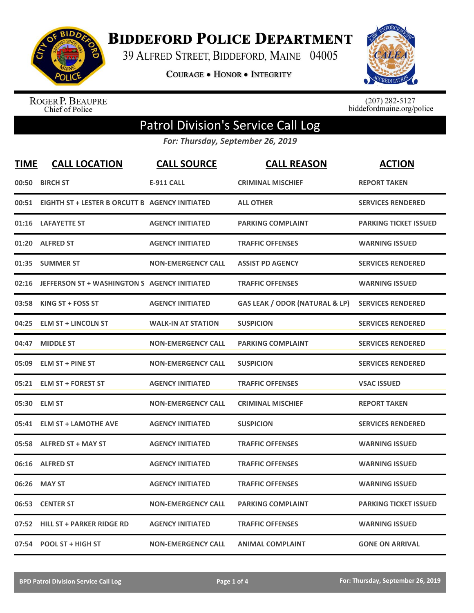

**BIDDEFORD POLICE DEPARTMENT** 

39 ALFRED STREET, BIDDEFORD, MAINE 04005

**COURAGE . HONOR . INTEGRITY** 



ROGER P. BEAUPRE<br>Chief of Police

 $(207)$  282-5127<br>biddefordmaine.org/police

## Patrol Division's Service Call Log

*For: Thursday, September 26, 2019*

| <b>TIME</b> | <b>CALL LOCATION</b>                           | <b>CALL SOURCE</b>        | <b>CALL REASON</b>                        | <b>ACTION</b>                |
|-------------|------------------------------------------------|---------------------------|-------------------------------------------|------------------------------|
|             | 00:50 BIRCH ST                                 | <b>E-911 CALL</b>         | <b>CRIMINAL MISCHIEF</b>                  | <b>REPORT TAKEN</b>          |
| 00:51       | EIGHTH ST + LESTER B ORCUTT B AGENCY INITIATED |                           | <b>ALL OTHER</b>                          | <b>SERVICES RENDERED</b>     |
| 01:16       | <b>LAFAYETTE ST</b>                            | <b>AGENCY INITIATED</b>   | <b>PARKING COMPLAINT</b>                  | <b>PARKING TICKET ISSUED</b> |
| 01:20       | <b>ALFRED ST</b>                               | <b>AGENCY INITIATED</b>   | <b>TRAFFIC OFFENSES</b>                   | <b>WARNING ISSUED</b>        |
| 01:35       | <b>SUMMER ST</b>                               | <b>NON-EMERGENCY CALL</b> | <b>ASSIST PD AGENCY</b>                   | <b>SERVICES RENDERED</b>     |
| 02:16       | JEFFERSON ST + WASHINGTON S AGENCY INITIATED   |                           | <b>TRAFFIC OFFENSES</b>                   | <b>WARNING ISSUED</b>        |
| 03:58       | KING ST + FOSS ST                              | <b>AGENCY INITIATED</b>   | <b>GAS LEAK / ODOR (NATURAL &amp; LP)</b> | <b>SERVICES RENDERED</b>     |
| 04:25       | <b>ELM ST + LINCOLN ST</b>                     | <b>WALK-IN AT STATION</b> | <b>SUSPICION</b>                          | <b>SERVICES RENDERED</b>     |
| 04:47       | <b>MIDDLE ST</b>                               | <b>NON-EMERGENCY CALL</b> | <b>PARKING COMPLAINT</b>                  | <b>SERVICES RENDERED</b>     |
| 05:09       | <b>ELM ST + PINE ST</b>                        | <b>NON-EMERGENCY CALL</b> | <b>SUSPICION</b>                          | <b>SERVICES RENDERED</b>     |
|             | 05:21 ELM ST + FOREST ST                       | <b>AGENCY INITIATED</b>   | <b>TRAFFIC OFFENSES</b>                   | <b>VSAC ISSUED</b>           |
|             | 05:30 ELM ST                                   | <b>NON-EMERGENCY CALL</b> | <b>CRIMINAL MISCHIEF</b>                  | <b>REPORT TAKEN</b>          |
| 05:41       | <b>ELM ST + LAMOTHE AVE</b>                    | <b>AGENCY INITIATED</b>   | <b>SUSPICION</b>                          | <b>SERVICES RENDERED</b>     |
| 05:58       | <b>ALFRED ST + MAY ST</b>                      | <b>AGENCY INITIATED</b>   | <b>TRAFFIC OFFENSES</b>                   | <b>WARNING ISSUED</b>        |
| 06:16       | <b>ALFRED ST</b>                               | <b>AGENCY INITIATED</b>   | <b>TRAFFIC OFFENSES</b>                   | <b>WARNING ISSUED</b>        |
| 06:26       | <b>MAY ST</b>                                  | <b>AGENCY INITIATED</b>   | <b>TRAFFIC OFFENSES</b>                   | <b>WARNING ISSUED</b>        |
| 06:53       | <b>CENTER ST</b>                               | <b>NON-EMERGENCY CALL</b> | <b>PARKING COMPLAINT</b>                  | <b>PARKING TICKET ISSUED</b> |
| 07:52       | <b>HILL ST + PARKER RIDGE RD</b>               | <b>AGENCY INITIATED</b>   | <b>TRAFFIC OFFENSES</b>                   | <b>WARNING ISSUED</b>        |
|             | 07:54 POOL ST + HIGH ST                        | <b>NON-EMERGENCY CALL</b> | <b>ANIMAL COMPLAINT</b>                   | <b>GONE ON ARRIVAL</b>       |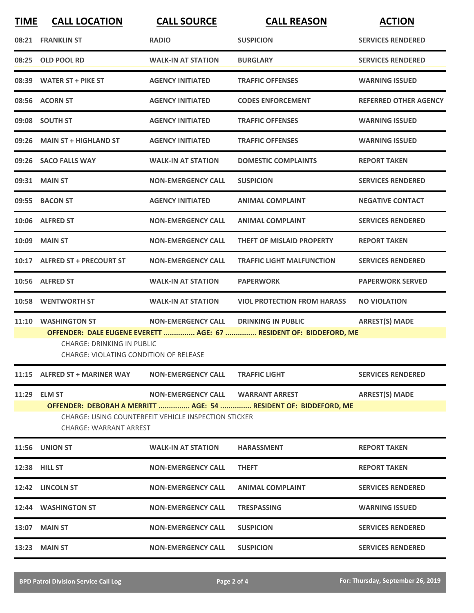| <b>TIME</b> | <b>CALL LOCATION</b>                                                                                                                                             | <b>CALL SOURCE</b>                | <b>CALL REASON</b>                                                 | <b>ACTION</b>                |  |
|-------------|------------------------------------------------------------------------------------------------------------------------------------------------------------------|-----------------------------------|--------------------------------------------------------------------|------------------------------|--|
|             | 08:21 FRANKLIN ST                                                                                                                                                | <b>RADIO</b>                      | <b>SUSPICION</b>                                                   | <b>SERVICES RENDERED</b>     |  |
| 08:25       | <b>OLD POOL RD</b>                                                                                                                                               | <b>WALK-IN AT STATION</b>         | <b>BURGLARY</b>                                                    | <b>SERVICES RENDERED</b>     |  |
|             | 08:39 WATER ST + PIKE ST                                                                                                                                         | <b>AGENCY INITIATED</b>           | <b>TRAFFIC OFFENSES</b>                                            | <b>WARNING ISSUED</b>        |  |
|             | 08:56 ACORN ST                                                                                                                                                   | <b>AGENCY INITIATED</b>           | <b>CODES ENFORCEMENT</b>                                           | <b>REFERRED OTHER AGENCY</b> |  |
|             | 09:08 SOUTH ST                                                                                                                                                   | <b>AGENCY INITIATED</b>           | <b>TRAFFIC OFFENSES</b>                                            | <b>WARNING ISSUED</b>        |  |
| 09:26       | <b>MAIN ST + HIGHLAND ST</b>                                                                                                                                     | <b>AGENCY INITIATED</b>           | <b>TRAFFIC OFFENSES</b>                                            | <b>WARNING ISSUED</b>        |  |
| 09:26       | <b>SACO FALLS WAY</b>                                                                                                                                            | <b>WALK-IN AT STATION</b>         | <b>DOMESTIC COMPLAINTS</b>                                         | <b>REPORT TAKEN</b>          |  |
|             | 09:31 MAIN ST                                                                                                                                                    | <b>NON-EMERGENCY CALL</b>         | <b>SUSPICION</b>                                                   | <b>SERVICES RENDERED</b>     |  |
|             | 09:55 BACON ST                                                                                                                                                   | <b>AGENCY INITIATED</b>           | <b>ANIMAL COMPLAINT</b>                                            | <b>NEGATIVE CONTACT</b>      |  |
|             | 10:06 ALFRED ST                                                                                                                                                  | <b>NON-EMERGENCY CALL</b>         | <b>ANIMAL COMPLAINT</b>                                            | <b>SERVICES RENDERED</b>     |  |
|             | <b>10:09 MAIN ST</b>                                                                                                                                             | <b>NON-EMERGENCY CALL</b>         | <b>THEFT OF MISLAID PROPERTY</b>                                   | <b>REPORT TAKEN</b>          |  |
|             | 10:17 ALFRED ST + PRECOURT ST                                                                                                                                    | <b>NON-EMERGENCY CALL</b>         | <b>TRAFFIC LIGHT MALFUNCTION</b>                                   | <b>SERVICES RENDERED</b>     |  |
|             | 10:56 ALFRED ST                                                                                                                                                  | <b>WALK-IN AT STATION</b>         | <b>PAPERWORK</b>                                                   | <b>PAPERWORK SERVED</b>      |  |
| 10:58       | <b>WENTWORTH ST</b>                                                                                                                                              | <b>WALK-IN AT STATION</b>         | <b>VIOL PROTECTION FROM HARASS</b>                                 | <b>NO VIOLATION</b>          |  |
| 11:10       | <b>WASHINGTON ST</b>                                                                                                                                             | <b>NON-EMERGENCY CALL</b>         | <b>DRINKING IN PUBLIC</b>                                          | <b>ARREST(S) MADE</b>        |  |
|             |                                                                                                                                                                  |                                   | OFFENDER: DALE EUGENE EVERETT  AGE: 67  RESIDENT OF: BIDDEFORD, ME |                              |  |
|             | <b>CHARGE: DRINKING IN PUBLIC</b><br>CHARGE: VIOLATING CONDITION OF RELEASE                                                                                      |                                   |                                                                    |                              |  |
|             | 11:15 ALFRED ST + MARINER WAY                                                                                                                                    | <b>NON-EMERGENCY CALL</b>         | <b>TRAFFIC LIGHT</b>                                               | <b>SERVICES RENDERED</b>     |  |
|             | 11:29 ELM ST                                                                                                                                                     | NON-EMERGENCY CALL WARRANT ARREST |                                                                    | <b>ARREST(S) MADE</b>        |  |
|             | OFFENDER: DEBORAH A MERRITT  AGE: 54  RESIDENT OF: BIDDEFORD, ME<br><b>CHARGE: USING COUNTERFEIT VEHICLE INSPECTION STICKER</b><br><b>CHARGE: WARRANT ARREST</b> |                                   |                                                                    |                              |  |
|             | <b>11:56 UNION ST</b>                                                                                                                                            | <b>WALK-IN AT STATION</b>         | <b>HARASSMENT</b>                                                  | <b>REPORT TAKEN</b>          |  |
|             | 12:38 HILL ST                                                                                                                                                    | <b>NON-EMERGENCY CALL</b>         | <b>THEFT</b>                                                       | <b>REPORT TAKEN</b>          |  |
|             | 12:42 LINCOLN ST                                                                                                                                                 | <b>NON-EMERGENCY CALL</b>         | <b>ANIMAL COMPLAINT</b>                                            | <b>SERVICES RENDERED</b>     |  |
|             | 12:44 WASHINGTON ST                                                                                                                                              | <b>NON-EMERGENCY CALL</b>         | <b>TRESPASSING</b>                                                 | <b>WARNING ISSUED</b>        |  |
|             | 13:07 MAIN ST                                                                                                                                                    | <b>NON-EMERGENCY CALL</b>         | <b>SUSPICION</b>                                                   | <b>SERVICES RENDERED</b>     |  |
|             | 13:23 MAIN ST                                                                                                                                                    | <b>NON-EMERGENCY CALL</b>         | <b>SUSPICION</b>                                                   | <b>SERVICES RENDERED</b>     |  |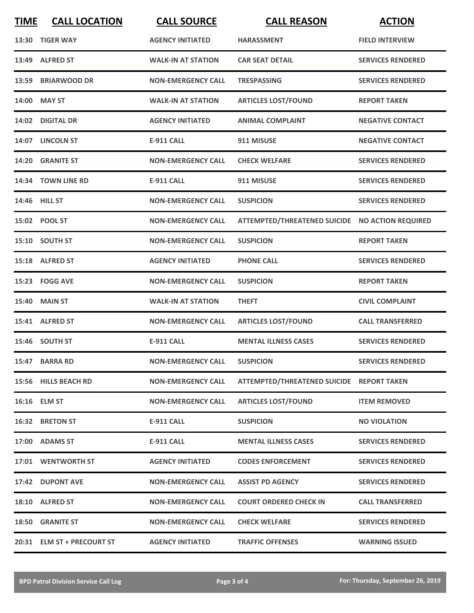| <b>TIME</b> | <b>CALL LOCATION</b>       | <b>CALL SOURCE</b>        | <b>CALL REASON</b>                              | <b>ACTION</b>            |
|-------------|----------------------------|---------------------------|-------------------------------------------------|--------------------------|
|             | 13:30 TIGER WAY            | <b>AGENCY INITIATED</b>   | <b>HARASSMENT</b>                               | <b>FIELD INTERVIEW</b>   |
|             | 13:49 ALFRED ST            | <b>WALK-IN AT STATION</b> | <b>CAR SEAT DETAIL</b>                          | <b>SERVICES RENDERED</b> |
|             | 13:59 BRIARWOOD DR         | <b>NON-EMERGENCY CALL</b> | <b>TRESPASSING</b>                              | <b>SERVICES RENDERED</b> |
| 14:00       | <b>MAY ST</b>              | <b>WALK-IN AT STATION</b> | <b>ARTICLES LOST/FOUND</b>                      | <b>REPORT TAKEN</b>      |
|             | 14:02 DIGITAL DR           | <b>AGENCY INITIATED</b>   | <b>ANIMAL COMPLAINT</b>                         | <b>NEGATIVE CONTACT</b>  |
|             | 14:07 LINCOLN ST           | <b>E-911 CALL</b>         | 911 MISUSE                                      | <b>NEGATIVE CONTACT</b>  |
|             | 14:20 GRANITE ST           | <b>NON-EMERGENCY CALL</b> | <b>CHECK WELFARE</b>                            | <b>SERVICES RENDERED</b> |
|             | 14:34 TOWN LINE RD         | <b>E-911 CALL</b>         | 911 MISUSE                                      | <b>SERVICES RENDERED</b> |
|             | 14:46 HILL ST              | <b>NON-EMERGENCY CALL</b> | <b>SUSPICION</b>                                | <b>SERVICES RENDERED</b> |
|             | 15:02 POOL ST              | <b>NON-EMERGENCY CALL</b> | ATTEMPTED/THREATENED SUICIDE NO ACTION REQUIRED |                          |
|             | 15:10 SOUTH ST             | <b>NON-EMERGENCY CALL</b> | <b>SUSPICION</b>                                | <b>REPORT TAKEN</b>      |
|             | 15:18 ALFRED ST            | <b>AGENCY INITIATED</b>   | <b>PHONE CALL</b>                               | <b>SERVICES RENDERED</b> |
|             | 15:23 FOGG AVE             | <b>NON-EMERGENCY CALL</b> | <b>SUSPICION</b>                                | <b>REPORT TAKEN</b>      |
| 15:40       | <b>MAIN ST</b>             | <b>WALK-IN AT STATION</b> | <b>THEFT</b>                                    | <b>CIVIL COMPLAINT</b>   |
|             | 15:41 ALFRED ST            | <b>NON-EMERGENCY CALL</b> | <b>ARTICLES LOST/FOUND</b>                      | <b>CALL TRANSFERRED</b>  |
|             | 15:46 SOUTH ST             | <b>E-911 CALL</b>         | <b>MENTAL ILLNESS CASES</b>                     | <b>SERVICES RENDERED</b> |
|             | 15:47 BARRA RD             | <b>NON-EMERGENCY CALL</b> | <b>SUSPICION</b>                                | <b>SERVICES RENDERED</b> |
|             | 15:56 HILLS BEACH RD       | <b>NON-EMERGENCY CALL</b> | ATTEMPTED/THREATENED SUICIDE REPORT TAKEN       |                          |
|             | 16:16 ELM ST               | <b>NON-EMERGENCY CALL</b> | <b>ARTICLES LOST/FOUND</b>                      | <b>ITEM REMOVED</b>      |
|             | 16:32 BRETON ST            | <b>E-911 CALL</b>         | <b>SUSPICION</b>                                | <b>NO VIOLATION</b>      |
|             | 17:00 ADAMS ST             | <b>E-911 CALL</b>         | <b>MENTAL ILLNESS CASES</b>                     | <b>SERVICES RENDERED</b> |
|             | 17:01 WENTWORTH ST         | <b>AGENCY INITIATED</b>   | <b>CODES ENFORCEMENT</b>                        | <b>SERVICES RENDERED</b> |
|             | 17:42 DUPONT AVE           | <b>NON-EMERGENCY CALL</b> | <b>ASSIST PD AGENCY</b>                         | <b>SERVICES RENDERED</b> |
|             | 18:10 ALFRED ST            | <b>NON-EMERGENCY CALL</b> | <b>COURT ORDERED CHECK IN</b>                   | <b>CALL TRANSFERRED</b>  |
|             | <b>18:50 GRANITE ST</b>    | <b>NON-EMERGENCY CALL</b> | <b>CHECK WELFARE</b>                            | <b>SERVICES RENDERED</b> |
|             | 20:31 ELM ST + PRECOURT ST | <b>AGENCY INITIATED</b>   | <b>TRAFFIC OFFENSES</b>                         | <b>WARNING ISSUED</b>    |